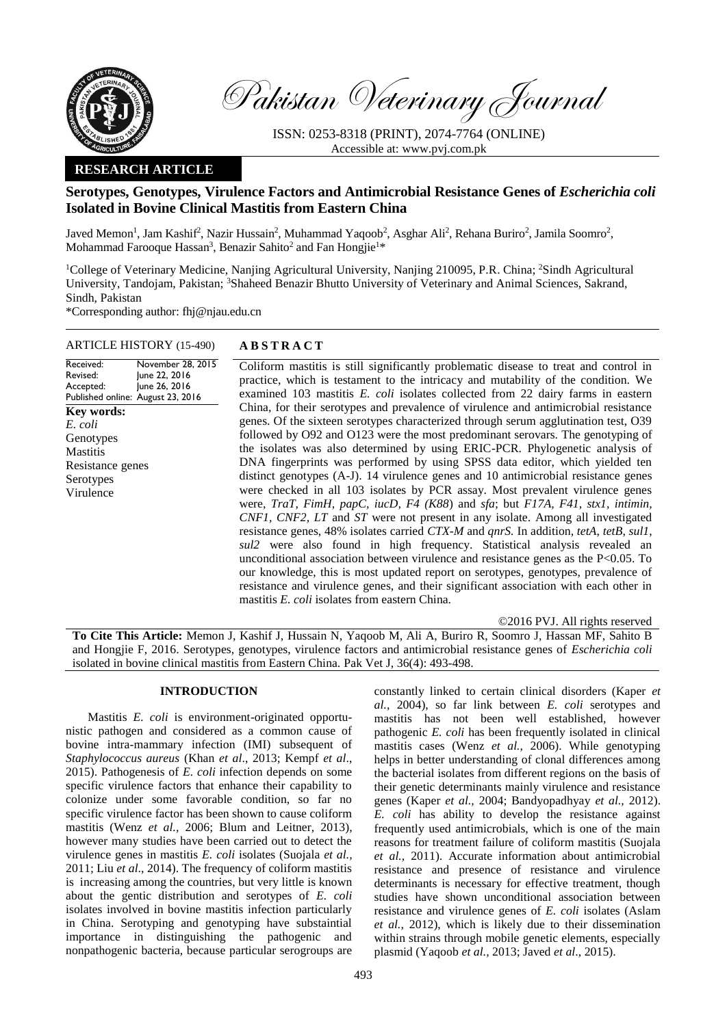

Pakistan Veterinary Journal

ISSN: 0253-8318 (PRINT), 2074-7764 (ONLINE) Accessible at: [www.pvj.com.pk](http://www.pvj.com.pk/)

# **RESEARCH ARTICLE**

# **Serotypes, Genotypes, Virulence Factors and Antimicrobial Resistance Genes of** *Escherichia coli*  **Isolated in Bovine Clinical Mastitis from Eastern China**

Javed Memon<sup>1</sup>, Jam Kashif<sup>2</sup>, Nazir Hussain<sup>2</sup>, Muhammad Yaqoob<sup>2</sup>, Asghar Ali<sup>2</sup>, Rehana Buriro<sup>2</sup>, Jamila Soomro<sup>2</sup>, Mohammad Farooque Hassan<sup>3</sup>, Benazir Sahito<sup>2</sup> and Fan Hongjie<sup>1\*</sup>

<sup>1</sup>College of Veterinary Medicine, Nanjing Agricultural University, Nanjing 210095, P.R. China; <sup>2</sup>Sindh Agricultural University, Tandojam, Pakistan; <sup>3</sup>Shaheed Benazir Bhutto University of Veterinary and Animal Sciences, Sakrand, Sindh, Pakistan

\*Corresponding author: fhj@njau.edu.cn

#### ARTICLE HISTORY (15-490) **A B S T R A C T**

Received: Revised: Accepted: Published online: August 23, 2016 November 28, 2015 June 22, 2016 June 26, 2016 **Key words:**  *E. coli* Genotypes **Mastitis** Resistance genes **Serotypes** Virulence

Coliform mastitis is still significantly problematic disease to treat and control in practice, which is testament to the intricacy and mutability of the condition. We examined 103 mastitis *E. coli* isolates collected from 22 dairy farms in eastern China, for their serotypes and prevalence of virulence and antimicrobial resistance genes. Of the sixteen serotypes characterized through serum agglutination test, O39 followed by O92 and O123 were the most predominant serovars. The genotyping of the isolates was also determined by using ERIC-PCR. Phylogenetic analysis of DNA fingerprints was performed by using SPSS data editor, which yielded ten distinct genotypes (A-J). 14 virulence genes and 10 antimicrobial resistance genes were checked in all 103 isolates by PCR assay. Most prevalent virulence genes were, *TraT, FimH, papC, iucD, F4 (K88*) and *sfa*; but *F17A, F41, stx1, intimin, CNF1, CNF2, LT* and *ST* were not present in any isolate. Among all investigated resistance genes, 48% isolates carried *CTX-M* and *qnrS.* In addition*, tetA*, *tetB*, *sul1*, *sul2* were also found in high frequency. Statistical analysis revealed an unconditional association between virulence and resistance genes as the  $P<0.05$ . To our knowledge, this is most updated report on serotypes, genotypes, prevalence of resistance and virulence genes, and their significant association with each other in mastitis *E. coli* isolates from eastern China.

©2016 PVJ. All rights reserved

**To Cite This Article:** Memon J, Kashif J, Hussain N, Yaqoob M, Ali A, Buriro R, Soomro J, Hassan MF, Sahito B and Hongjie F, 2016. Serotypes, genotypes, virulence factors and antimicrobial resistance genes of *Escherichia coli*  isolated in bovine clinical mastitis from Eastern China. Pak Vet J, 36(4): 493-498.

### **INTRODUCTION**

Mastitis *E. coli* is environment-originated opportunistic pathogen and considered as a common cause of bovine intra-mammary infection (IMI) subsequent of *Staphylococcus aureus* (Khan *et al*., 2013; Kempf *et al*., 2015). Pathogenesis of *E. coli* infection depends on some specific virulence factors that enhance their capability to colonize under some favorable condition, so far no specific virulence factor has been shown to cause coliform mastitis (Wenz *et al.,* 2006; Blum and Leitner, 2013), however many studies have been carried out to detect the virulence genes in mastitis *E. coli* isolates (Suojala *et al.,* 2011; Liu *et al*., 2014). The frequency of coliform mastitis is increasing among the countries, but very little is known about the gentic distribution and serotypes of *E. coli*  isolates involved in bovine mastitis infection particularly in China. Serotyping and genotyping have substaintial importance in distinguishing the pathogenic and nonpathogenic bacteria, because particular serogroups are

constantly linked to certain clinical disorders (Kaper *et al.,* 2004), so far link between *E. coli* serotypes and mastitis has not been well established, however pathogenic *E. coli* has been frequently isolated in clinical mastitis cases (Wenz *et al.,* 2006). While genotyping helps in better understanding of clonal differences among the bacterial isolates from different regions on the basis of their genetic determinants mainly virulence and resistance genes (Kaper *et al.,* 2004; Bandyopadhyay *et al.,* 2012). *E. coli* has ability to develop the resistance against frequently used antimicrobials, which is one of the main reasons for treatment failure of coliform mastitis (Suojala *et al.,* 2011). Accurate information about antimicrobial resistance and presence of resistance and virulence determinants is necessary for effective treatment, though studies have shown unconditional association between resistance and virulence genes of *E. coli* isolates (Aslam *et al.,* 2012), which is likely due to their dissemination within strains through mobile genetic elements, especially plasmid (Yaqoob *et al.,* 2013; Javed *et al*., 2015).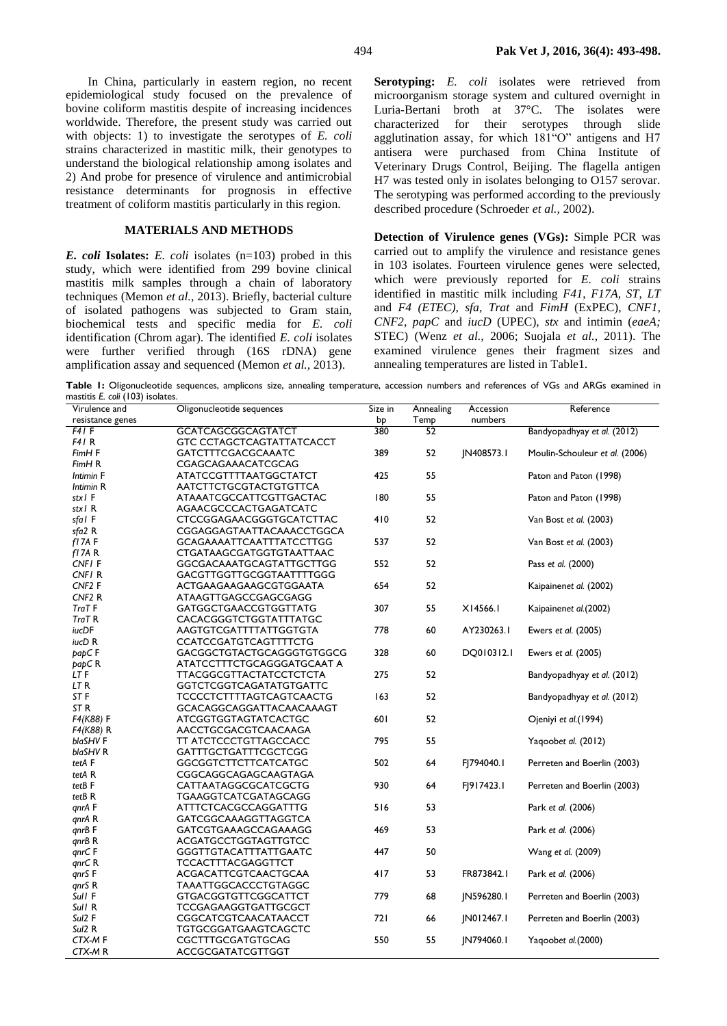In China, particularly in eastern region, no recent epidemiological study focused on the prevalence of bovine coliform mastitis despite of increasing incidences worldwide. Therefore, the present study was carried out with objects: 1) to investigate the serotypes of *E. coli* strains characterized in mastitic milk, their genotypes to understand the biological relationship among isolates and 2) And probe for presence of virulence and antimicrobial resistance determinants for prognosis in effective treatment of coliform mastitis particularly in this region.

## **MATERIALS AND METHODS**

*E. coli* **Isolates:** *E. coli* isolates (n=103) probed in this study, which were identified from 299 bovine clinical mastitis milk samples through a chain of laboratory techniques (Memon *et al.,* 2013). Briefly, bacterial culture of isolated pathogens was subjected to Gram stain, biochemical tests and specific media for *E. coli* identification (Chrom agar). The identified *E. coli* isolates were further verified through (16S rDNA) gene amplification assay and sequenced (Memon *et al.,* 2013).

**Serotyping:** *E. coli* isolates were retrieved from microorganism storage system and cultured overnight in Luria-Bertani broth at 37°C. The isolates were characterized for their serotypes through slide agglutination assay, for which 181"O" antigens and H7 antisera were purchased from China Institute of Veterinary Drugs Control, Beijing. The flagella antigen H7 was tested only in isolates belonging to O157 serovar. The serotyping was performed according to the previously described procedure (Schroeder *et al.,* 2002).

**Detection of Virulence genes (VGs):** Simple PCR was carried out to amplify the virulence and resistance genes in 103 isolates. Fourteen virulence genes were selected, which were previously reported for *E. coli* strains identified in mastitic milk including *F41*, *F17A, ST*, *LT* and *F4 (ETEC)*, *sfa*, *Trat* and *FimH* (ExPEC), *CNF1*, *CNF2*, *papC* and *iucD* (UPEC), *stx* and intimin (*eaeA;*  STEC) (Wenz *et al.,* 2006; Suojala *et al.,* 2011). The examined virulence genes their fragment sizes and annealing temperatures are listed in Table1.

**Table 1:** Oligonucleotide sequences, amplicons size, annealing temperature, accession numbers and references of VGs and ARGs examined in mastitis *E. coli* (103) isolates.

| Virulence and      | Oligonucleotide sequences       | Size in | Annealing | Accession  | Reference                      |
|--------------------|---------------------------------|---------|-----------|------------|--------------------------------|
| resistance genes   |                                 | bp      | Temp      | numbers    |                                |
| F41 F              | GCATCAGCGGCAGTATCT              | 380     | 52        |            | Bandyopadhyay et al. (2012)    |
| F41 R              | GTC CCTAGCTCAGTATTATCACCT       |         |           |            |                                |
| FimH F             | GATCTTTCGACGCAAATC              | 389     | 52        | JN408573.1 | Moulin-Schouleur et al. (2006) |
| FimH R             | CGAGCAGAAACATCGCAG              |         |           |            |                                |
| Intimin F          | ATATCCGTTTTAATGGCTATCT          | 425     | 55        |            | Paton and Paton (1998)         |
| Intimin R          | AATCTTCTGCGTACTGTGTTCA          |         |           |            |                                |
| stx I F            | ATAAATCGCCATTCGTTGACTAC         | 180     | 55        |            | Paton and Paton (1998)         |
| stx I R            | AGAACGCCCACTGAGATCATC           |         |           |            |                                |
| sfal F             | CTCCGGAGAACGGGTGCATCTTAC        | 410     | 52        |            | Van Bost et al. (2003)         |
| sfa2 R             | CGGAGGAGTAATTACAAACCTGGCA       |         |           |            |                                |
| fi 7A F            | GCAGAAAATTCAATTTATCCTTGG        | 537     | 52        |            | Van Bost et al. (2003)         |
| $f$ <i>I</i> 7A R  | CTGATAAGCGATGGTGTAATTAAC        |         |           |            |                                |
| CNFI F             | GGCGACAAATGCAGTATTGCTTGG        | 552     | 52        |            | Pass et al. (2000)             |
| CNFI R             | GACGTTGGTTGCGGTAATTTTGGG        |         |           |            |                                |
| CNF2 F             | ACTGAAGAAGAAGCGTGGAATA          | 654     | 52        |            | Kaipainenet al. (2002)         |
| CNF <sub>2</sub> R | ATAAGTTGAGCCGAGCGAGG            |         |           |            |                                |
| TraT F             | GATGGCTGAACCGTGGTTATG           | 307     | 55        | XI4566.1   | Kaipainenet al. (2002)         |
| TraT R             | CACACGGGTCTGGTATTTATGC          |         |           |            |                                |
| <i>iucDF</i>       | AAGTGTCGATTTTATTGGTGTA          | 778     | 60        | AY230263.1 | Ewers et al. (2005)            |
| iucD R             | CCATCCGATGTCAGTTTTCTG           |         |           |            |                                |
| papC <sub>F</sub>  | GACGGCTGTACTGCAGGGTGTGGCG       | 328     | 60        | DQ010312.1 | Ewers et al. (2005)            |
| papC <sub>R</sub>  | ATATCCTTTCTGCAGGGATGCAAT A      |         |           |            |                                |
| LT F               | <b>TTACGGCGTTACTATCCTCTCTA</b>  | 275     | 52        |            | Bandyopadhyay et al. (2012)    |
| LT R               | GGTCTCGGTCAGATATGTGATTC         |         |           |            |                                |
| ST F               | <b>TCCCCTCTTTTAGTCAGTCAACTG</b> | 163     | 52        |            | Bandyopadhyay et al. (2012)    |
| ST R               | GCACAGGCAGGATTACAACAAAGT        |         |           |            |                                |
| F4(K88) F          | <b>ATCGGTGGTAGTATCACTGC</b>     | 601     | 52        |            | Ojeniyi et al. (1994)          |
| F4(K88) R          | AACCTGCGACGTCAACAAGA            |         |           |            |                                |
| blaSHV F           | TT ATCTCCCTGTTAGCCACC           | 795     | 55        |            | Yaqoobet al. (2012)            |
| blaSHV R           | GATTTGCTGATTTCGCTCGG            |         |           |            |                                |
| tetA F             | <b>GGCGGTCTTCTTCATCATGC</b>     | 502     | 64        | FJ794040.1 | Perreten and Boerlin (2003)    |
| tetAR              | CGGCAGGCAGAGCAAGTAGA            |         |           |            |                                |
| tetB F             | CATTAATAGGCGCATCGCTG            | 930     | 64        | F 917423.1 | Perreten and Boerlin (2003)    |
| tetBR              | TGAAGGTCATCGATAGCAGG            |         |           |            |                                |
| qnrA F             | ATTTCTCACGCCAGGATTTG            | 516     | 53        |            | Park et al. (2006)             |
| gnrA R             | GATCGGCAAAGGTTAGGTCA            |         |           |            |                                |
| qnrB F             | GATCGTGAAAGCCAGAAAGG            | 469     | 53        |            | Park et al. (2006)             |
| qnrB R             | ACGATGCCTGGTAGTTGTCC            |         |           |            |                                |
| gnrC F             | <b>GGGTTGTACATTTATTGAATC</b>    | 447     | 50        |            | Wang et al. (2009)             |
| qnrCR              | <b>TCCACTTTACGAGGTTCT</b>       |         |           |            |                                |
| qnrS F             | ACGACATTCGTCAACTGCAA            | 417     | 53        | FR873842.1 | Park et al. (2006)             |
| qnrS R             | TAAATTGGCACCCTGTAGGC            |         |           |            |                                |
| Sull F             | <b>GTGACGGTGTTCGGCATTCT</b>     | 779     | 68        | JN596280.1 | Perreten and Boerlin (2003)    |
| Sull R             | TCCGAGAAGGTGATTGCGCT            |         |           |            |                                |
| Sul2 F             | CGGCATCGTCAACATAACCT            | 721     | 66        | JN012467.1 | Perreten and Boerlin (2003)    |
| Sul2 R             | TGTGCGGATGAAGTCAGCTC            |         |           |            |                                |
| CTX-M F            | CGCTTTGCGATGTGCAG               | 550     | 55        | JN794060.1 | Yagoobet al.(2000)             |
| CTX-MR             | ACCGCGATATCGTTGGT               |         |           |            |                                |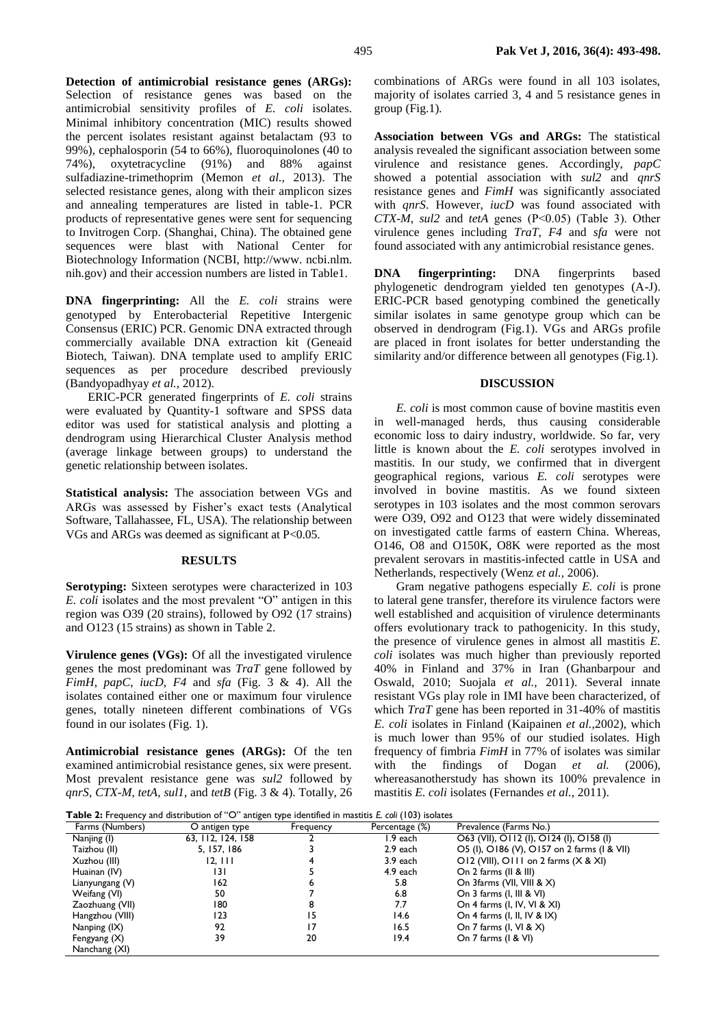**Detection of antimicrobial resistance genes (ARGs):**  Selection of resistance genes was based on the antimicrobial sensitivity profiles of *E. coli* isolates. Minimal inhibitory concentration (MIC) results showed the percent isolates resistant against betalactam (93 to 99%), cephalosporin (54 to 66%), fluoroquinolones (40 to 74%), oxytetracycline (91%) and 88% against sulfadiazine-trimethoprim (Memon *et al.,* 2013). The selected resistance genes, along with their amplicon sizes and annealing temperatures are listed in table-1. PCR products of representative genes were sent for sequencing to Invitrogen Corp. (Shanghai, China). The obtained gene sequences were blast with National Center for Biotechnology Information (NCBI, [http://www.](http://www/) ncbi.nlm. nih.gov) and their accession numbers are listed in Table1.

**DNA fingerprinting:** All the *E. coli* strains were genotyped by Enterobacterial Repetitive Intergenic Consensus (ERIC) PCR. Genomic DNA extracted through commercially available DNA extraction kit (Geneaid Biotech, Taiwan). DNA template used to amplify ERIC sequences as per procedure described previously (Bandyopadhyay *et al.,* 2012).

ERIC-PCR generated fingerprints of *E. coli* strains were evaluated by Quantity-1 software and SPSS data editor was used for statistical analysis and plotting a dendrogram using Hierarchical Cluster Analysis method (average linkage between groups) to understand the genetic relationship between isolates.

**Statistical analysis:** The association between VGs and ARGs was assessed by Fisher's exact tests (Analytical Software, Tallahassee, FL, USA). The relationship between VGs and ARGs was deemed as significant at P<0.05.

#### **RESULTS**

**Serotyping:** Sixteen serotypes were characterized in 103 *E. coli* isolates and the most prevalent "O" antigen in this region was O39 (20 strains), followed by O92 (17 strains) and O123 (15 strains) as shown in Table 2.

**Virulence genes (VGs):** Of all the investigated virulence genes the most predominant was *TraT* gene followed by *FimH*, *papC*, *iucD*, *F4* and *sfa* (Fig. 3 & 4). All the isolates contained either one or maximum four virulence genes, totally nineteen different combinations of VGs found in our isolates (Fig. 1).

**Antimicrobial resistance genes (ARGs):** Of the ten examined antimicrobial resistance genes, six were present. Most prevalent resistance gene was *sul2* followed by *qnrS*, *CTX-M*, *tetA*, *sul1*, and *tetB* (Fig. 3 & 4). Totally, 26 combinations of ARGs were found in all 103 isolates, majority of isolates carried 3, 4 and 5 resistance genes in group (Fig.1)*.*

**Association between VGs and ARGs:** The statistical analysis revealed the significant association between some virulence and resistance genes. Accordingly, *papC* showed a potential association with *sul2* and *qnrS* resistance genes and *FimH* was significantly associated with *qnrS*. However, *iucD* was found associated with *CTX-M*, *sul2* and *tetA* genes (P˂0.05) (Table 3). Other virulence genes including *TraT*, *F4* and *sfa* were not found associated with any antimicrobial resistance genes.

**DNA** fingerprinting: DNA fingerprints based phylogenetic dendrogram yielded ten genotypes (A-J). ERIC-PCR based genotyping combined the genetically similar isolates in same genotype group which can be observed in dendrogram (Fig.1). VGs and ARGs profile are placed in front isolates for better understanding the similarity and/or difference between all genotypes (Fig.1).

### **DISCUSSION**

*E. coli* is most common cause of bovine mastitis even in well-managed herds, thus causing considerable economic loss to dairy industry, worldwide. So far, very little is known about the *E. coli* serotypes involved in mastitis. In our study, we confirmed that in divergent geographical regions, various *E. coli* serotypes were involved in bovine mastitis. As we found sixteen serotypes in 103 isolates and the most common serovars were O39, O92 and O123 that were widely disseminated on investigated cattle farms of eastern China. Whereas, O146, O8 and O150K, O8K were reported as the most prevalent serovars in mastitis-infected cattle in USA and Netherlands, respectively (Wenz *et al.,* 2006).

Gram negative pathogens especially *E. coli* is prone to lateral gene transfer, therefore its virulence factors were well established and acquisition of virulence determinants offers evolutionary track to pathogenicity. In this study, the presence of virulence genes in almost all mastitis *E. coli* isolates was much higher than previously reported 40% in Finland and 37% in Iran (Ghanbarpour and Oswald, 2010; Suojala *et al.,* 2011). Several innate resistant VGs play role in IMI have been characterized, of which *TraT* gene has been reported in 31-40% of mastitis *E. coli* isolates in Finland (Kaipainen *et al.,*2002), which is much lower than 95% of our studied isolates. High frequency of fimbria *FimH* in 77% of isolates was similar with the findings of Dogan et al. (2006), whereasanotherstudy has shown its 100% prevalence in mastitis *E. coli* isolates (Fernandes *et al.,* 2011).

**Table 2:** Frequency and distribution of "O" antigen type identified in mastitis *E. coli* (103) isolates

| Farms (Numbers) | O antigen type    | Frequency | Percentage (%) | Prevalence (Farms No.)                      |
|-----------------|-------------------|-----------|----------------|---------------------------------------------|
| Nanjing (I)     | 63, 112, 124, 158 |           | 1.9 each       | O63 (VII), O112 (I), O124 (I), O158 (I)     |
| Taizhou (II)    | 5, 157, 186       |           | 2.9 each       | O5 (I), O186 (V), O157 on 2 farms (1 & VII) |
| Xuzhou (III)    | 12, III           |           | 3.9 each       | $O12$ (VIII), $O111$ on 2 farms $(X & XI)$  |
| Huainan (IV)    | 131               |           | 4.9 each       | On 2 farms (II & III)                       |
| Lianyungang (V) | 162               | ь         | 5.8            | On $3$ farms (VII, VIII & X)                |
| Weifang (VI)    | 50                |           | 6.8            | On $3$ farms (I, III & VI)                  |
| Zaozhuang (VII) | 180               | 8         | 7.7            | On 4 farms (I, IV, VI & XI)                 |
| Hangzhou (VIII) | 123               | 15        | 14.6           | On 4 farms $(I, II, IV & IX)$               |
| Nanping (IX)    | 92                |           | 16.5           | On 7 farms $(I, VI & X)$                    |
| Fengyang $(X)$  | 39                | 20        | 19.4           | On 7 farms (1 & VI)                         |
| Nanchang (XI)   |                   |           |                |                                             |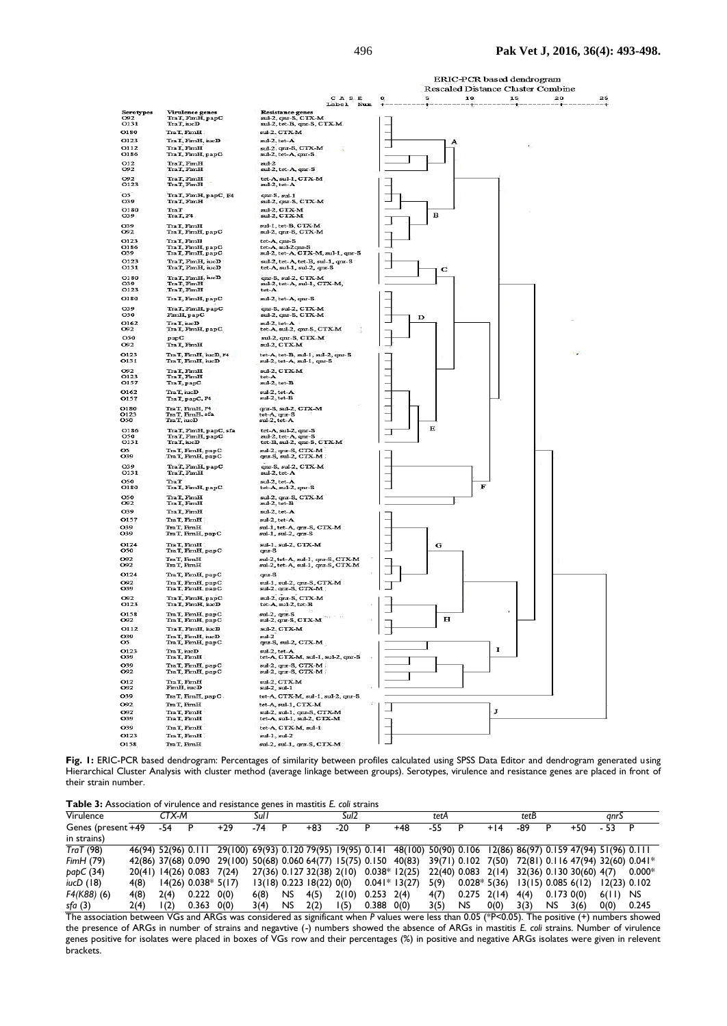|                          |                                                          |                                                                                                      |   | ERIC-PCR based dendrogram<br>Rescaled Distance Cluster Combine |    |    |    |     |  |  |
|--------------------------|----------------------------------------------------------|------------------------------------------------------------------------------------------------------|---|----------------------------------------------------------------|----|----|----|-----|--|--|
|                          |                                                          | C A S E                                                                                              | Q | 5                                                              | 10 | 15 | 20 | 25  |  |  |
| Serotypes<br>O92<br>O131 | Virulence genes<br>TraT, FimH, papC<br>TraT, iucD        | Label<br>Num<br><b>Resistance genes</b><br>sul-2, qnr-S, CTX-M<br>sul-2, tet-B, qnr-S, CTX-M.        | ٠ |                                                                |    |    | 4  | - + |  |  |
| O180<br>O123             | TraT, FimH<br>TraT, FmH, iucD                            | sul-2, CTX-M<br>sul-2, tet-A                                                                         |   |                                                                |    |    |    |     |  |  |
| O112<br>O186             | TraT. FmH<br>TraT, FmH, papC                             | sul-2, qnr-S, CTX-M<br>sul-2, tet-A, qnr-S                                                           |   |                                                                | А  |    |    |     |  |  |
| O12<br>O92               | TraT, FimH<br>TraT, FimH                                 | sul-2<br>sul-2, tet-A, qnr-S                                                                         |   |                                                                |    |    |    |     |  |  |
| O92<br>O123              | TraT, FimH<br><b>TraT. FimH</b>                          | tet-A, sul-1, CTX-M<br>sul-2, tet-A                                                                  |   |                                                                |    |    |    |     |  |  |
| O5<br>O39                | TraT, FimH, papC, F4<br>TraT, FimH                       | qnr-S, sul-1<br>sul-2, qnr-S, CTX-M                                                                  |   |                                                                |    |    |    |     |  |  |
| O180<br>O39              | <b>TraT</b><br>Tra T, F4                                 | sul-2, CTX-M<br>sul-2, CTX-M                                                                         |   | в                                                              |    |    |    |     |  |  |
| O39<br>O92               | TraT, FimH<br>TraT, FimH, papC                           | sul-1, tet-B, CTX-M<br>sul-2, qnr-S, CTX-M                                                           |   |                                                                |    |    |    |     |  |  |
| O123<br>O186             | TraT. FmH<br>TraT, FimH, papC                            | tet-A, qnr-S<br>tet-A, sul-2qnr-S                                                                    |   |                                                                |    |    |    |     |  |  |
| O39<br>O123<br>0131      | TraT, FimH, papC<br>TraT, FimH, iucD<br>TraT, FimH, iucD | sul-2, tet-A, CTX-M, sul-1, qnr-S<br>sul-2, tet-A, tet-B, sul-1, qnr-S<br>tet-A, sul-1, sul-2, qnr-S |   |                                                                |    |    |    |     |  |  |
| O180<br>O39<br>O123      | TraT, FmH, iucD<br>TraT, FmH<br>TraT, FimH               | qnr-S, sul-2, CTX-M<br>sul-2, tet-A, sul-1, CTX-M,<br>tet-A                                          |   | с                                                              |    |    |    |     |  |  |
| O180                     | TraT, FimH, papC                                         | sul-2, tet-A, qnr-S                                                                                  |   |                                                                |    |    |    |     |  |  |
| O39<br>O50<br>O162       | TraT, FimH, papC<br>FmH, papC<br>TraT. iucD              | qnr-S, sul-2, CTX-M<br>sul-2, qnr-S, CTX-M<br>sul-2, tet-A                                           |   | D                                                              |    |    |    |     |  |  |
| O92                      | TraT, FimH, papC                                         | tet-A, sul-2, qnr-S, CTX-M                                                                           |   |                                                                |    |    |    |     |  |  |
| O50<br>O92               | papC<br>TraT, FimH                                       | sul-2, qnr-S, CTX-M<br>sul-2, CTX-M                                                                  |   |                                                                |    |    |    |     |  |  |
| O123<br>O131             | TraT, FimH, iucD, F4<br>TraT, FimH, iucD                 | tet-A, tet-B, sul-1, sul-2, qnr-S<br>sul-2, tet-A, sul-1, qnr-S                                      |   |                                                                |    |    |    |     |  |  |
| O92<br>O123<br>0157      | TraT, FimH<br>TraT, FirnH<br>TraT, papC                  | sul-2, CTX-M<br>tet-A<br>sul-2, tet-B                                                                |   |                                                                |    |    |    |     |  |  |
| O162<br>0157             | TraT, iucD<br>TraT, papC, F4                             | sul-2, tet-A<br>sul-2, tet-B                                                                         |   |                                                                |    |    |    |     |  |  |
| O180<br>O123<br>O50      | TraT, FimH, F4<br>TraT, FimH, sfa<br>TraT. rucD          | qnr-S, sul-2, CTX-M<br>tet-A, qnr-S<br>sul-2, tet-A                                                  |   |                                                                |    |    |    |     |  |  |
| O186<br>O50<br>O131      | TraT, FimH, papC, sfa<br>TraT, FimH, papC<br>TraT. rucD  | tet-A, sul-2, qnr-S<br>sul-2, tet-A, qnr-S<br>tet-B, sul-2, qnr-S, CTX-M                             |   | Е                                                              |    |    |    |     |  |  |
| O5<br>O39                | TraT, FimH, papC<br>TraT, FimH, papC                     | sul-2, qnr-S, CTX-M<br>qnr-S, sul-2, CTX-M                                                           |   |                                                                |    |    |    |     |  |  |
| O39<br>O131              | TraT, FimH, papC<br>TraT, FimH                           | qnr-S, sul-2, CTX-M<br>sul-2, tet-A                                                                  |   |                                                                |    |    |    |     |  |  |
| O50<br>O180              | TraT<br>TraT, FimH, papC                                 | sul-2, tet-A<br>tet-A, sul-2, qnr-S                                                                  |   |                                                                | F  |    |    |     |  |  |
| O50<br>O92               | TraT, FmH<br>TraT, FimH                                  | sul-2, qnr-S, CTX-M<br>sul-2, tet-B                                                                  |   |                                                                |    |    |    |     |  |  |
| O39<br>O157              | TraT, FimH<br>TraT, FmH                                  | sul-2, tet-A<br>sul-2, tet-A                                                                         |   |                                                                |    |    |    |     |  |  |
| O39<br>O39               | TraT, FimH<br>TraT, FimH, papC                           | sul-1, tet-A, qnr-S, CTX-M<br>sul-1, sul-2, qnr-S                                                    |   |                                                                |    |    |    |     |  |  |
| O124<br>O50              | TraT, FimH<br>TraT, FimH, papC                           | sul-1, sul-2, CTX-M<br>qnr-S                                                                         |   | G                                                              |    |    |    |     |  |  |
| O92<br>O92               | TraT, FmH<br>TraT, FirnH                                 | sul-2, tet-A, sul-1, qnr-S, CTX-M<br>sul-2, tet-A, sul-1, qnr-S, CTX-M                               |   |                                                                |    |    |    |     |  |  |
| O124<br>O92<br>O39       | TraT, FimH, papC<br>TraT, FmH, papC<br>TraT. FimH. papC  | qnr-S<br>sul-1, sul-2, qnr-S, CTX-M                                                                  |   |                                                                |    |    |    |     |  |  |
| O92<br>0123              | TraT, FimH, papC<br>TraT, FimH, iucD                     | sul-2, onr-S, CTX-M<br>sul-2, qnr-S, CTX-M<br>tet-A, sul-2, tet-B                                    |   |                                                                |    |    |    |     |  |  |
| O158<br>O92              | TraT, FmH, papC<br>TraT, FimH, papC                      | sul-2, qnr-S<br>sul-2, qnr-S, CTX-M                                                                  |   | н                                                              |    |    |    |     |  |  |
| O112                     | TraT, FimH, iucD                                         | sul-2, CTX-M                                                                                         |   |                                                                |    |    |    |     |  |  |
| O39<br>O5                | TraT, FimH, iucD<br>TraT, FimH, papC                     | $sub-2$<br>qnr-S, sul-2, CTX-M                                                                       |   |                                                                |    |    |    |     |  |  |
| O123<br>O39              | TraT, iucD<br>TraT, FimH                                 | sul-2, tet-A<br>tet-A, CTX-M, sul-1, sul-2, qnr-S                                                    |   |                                                                |    | 1  |    |     |  |  |
| O39<br>O92               | TraT, FmH, papC<br>TraT, FimH, papC                      | sul-2, qnr-S, CTX-M<br>sul-2, qnr-S, CTX-M                                                           |   |                                                                |    |    |    |     |  |  |
| O <sub>12</sub><br>O92   | TraT, FmH<br>FimH, iucD                                  | sul-2, CTX-M<br>$sub-2, sub-1$                                                                       |   |                                                                |    |    |    |     |  |  |
| O39                      | TraT, FmH, papC                                          | tet-A, CTX-M, sul-1, sul-2, qnr-S                                                                    |   |                                                                |    |    |    |     |  |  |
| O92<br>O92               | TraT, FmH<br>TraT, FmH                                   | tet-A, sul-1, CTX-M<br>sul-2, sul-1, qnr-S, CTX-M                                                    |   |                                                                |    | J  |    |     |  |  |
| O39<br>O39               | TraT, FmH<br>TraT, FimH                                  | tet-A, sul-1, sul-2, CTX-M<br>tet-A, CTX-M, sul-1                                                    |   |                                                                |    |    |    |     |  |  |
| O123                     | TraT, FimH                                               | sul-1, sul-2                                                                                         |   |                                                                |    |    |    |     |  |  |
| O158                     | TraT, FmH                                                | sul-2, sul-1, qnr-S, CTX-M                                                                           |   |                                                                |    |    |    |     |  |  |

**Fig. 1:** ERIC-PCR based dendrogram: Percentages of similarity between profiles calculated using SPSS Data Editor and dendrogram generated using Hierarchical Cluster Analysis with cluster method (average linkage between groups). Serotypes, virulence and resistance genes are placed in front of their strain number.

| $\sim$ and $\sim$ . We contribute the station of the station is a contribution of the station of the station of the station of the station of the station of the station of the station of the station of the station of the stat |      |       |                           |                                                                                                                           |      |      |                              |       |                    |                                         |                                             |               |      |                      |           |       |                |          |
|-----------------------------------------------------------------------------------------------------------------------------------------------------------------------------------------------------------------------------------|------|-------|---------------------------|---------------------------------------------------------------------------------------------------------------------------|------|------|------------------------------|-------|--------------------|-----------------------------------------|---------------------------------------------|---------------|------|----------------------|-----------|-------|----------------|----------|
| Virulence                                                                                                                                                                                                                         |      | CTX-M |                           | Sul I                                                                                                                     |      | Sul2 |                              | tetA  |                    | tetB                                    |                                             |               | anrS |                      |           |       |                |          |
| Genes (present +49                                                                                                                                                                                                                |      | -54   | P                         | +29                                                                                                                       | -74  |      | +83                          | $-20$ |                    | +48                                     | -55                                         |               | +14  | -89                  |           | $+50$ | $-53$          |          |
| in strains)                                                                                                                                                                                                                       |      |       |                           |                                                                                                                           |      |      |                              |       |                    |                                         |                                             |               |      |                      |           |       |                |          |
| TraT(98)                                                                                                                                                                                                                          |      |       |                           | 46(94) 52(96) 0.111 29(100) 69(93) 0.120 79(95) 19(95) 0.141 48(100) 50(90) 0.106 12(86) 86(97) 0.159 47(94) 51(96) 0.111 |      |      |                              |       |                    |                                         |                                             |               |      |                      |           |       |                |          |
| FimH(79)                                                                                                                                                                                                                          |      |       |                           | 42(86) 37(68) 0.090 29(100) 50(68) 0.060 64(77) 15(75) 0.150 40(83) 39(71) 0.102 7(50) 72(81) 0.116 47(94) 32(60) 0.041*  |      |      |                              |       |                    |                                         |                                             |               |      |                      |           |       |                |          |
| рарС (34)                                                                                                                                                                                                                         |      |       | 20(41) 14(26) 0.083 7(24) |                                                                                                                           |      |      |                              |       |                    | 27(36) 0.127 32(38) 2(10) 0.038* 12(25) | 22(40) 0.083 2(14) 32(36) 0.130 30(60) 4(7) |               |      |                      |           |       |                | $0.000*$ |
| iucD(18)                                                                                                                                                                                                                          | 4(8) |       | $14(26)$ 0.038* 5(17)     |                                                                                                                           |      |      | $13(18)$ 0.223 $18(22)$ 0(0) |       |                    | $0.041*13(27)$                          | 5(9)                                        | $0.028*5(36)$ |      | $13(15)$ 0.085 6(12) |           |       | $12(23)$ 0.102 |          |
| $F4(K88)$ (6)                                                                                                                                                                                                                     | 4(8) | 2(4)  | $0.222 \quad 0(0)$        |                                                                                                                           | 6(8) | NS.  | 4(5)                         | 2(10) | $0.253$ 2(4)       |                                         | 4(7)                                        | $0.275$ 2(14) |      | 4(4)                 | 0.1730(0) |       | 6(11)          | NS.      |
| sfa(3)                                                                                                                                                                                                                            | 2(4) | (2)   | 0.363                     | 0(0)                                                                                                                      | 3(4) | NS.  | 2(2)                         | l (5) | $0.388 \quad 0(0)$ |                                         | 3(5)                                        | NS.           | 0(0) | 3(3)                 | NS.       | 3(6)  | 0(0)           | 0.245    |

The association between VGs and ARGs was considered as significant when *P* values were less than 0.05 (\*P<0.05). The positive (+) numbers showed the presence of ARGs in number of strains and negavtive (-) numbers showed the absence of ARGs in mastitis *E. coli* strains. Number of virulence genes positive for isolates were placed in boxes of VGs row and their percentages (%) in positive and negative ARGs isolates were given in relevent brackets.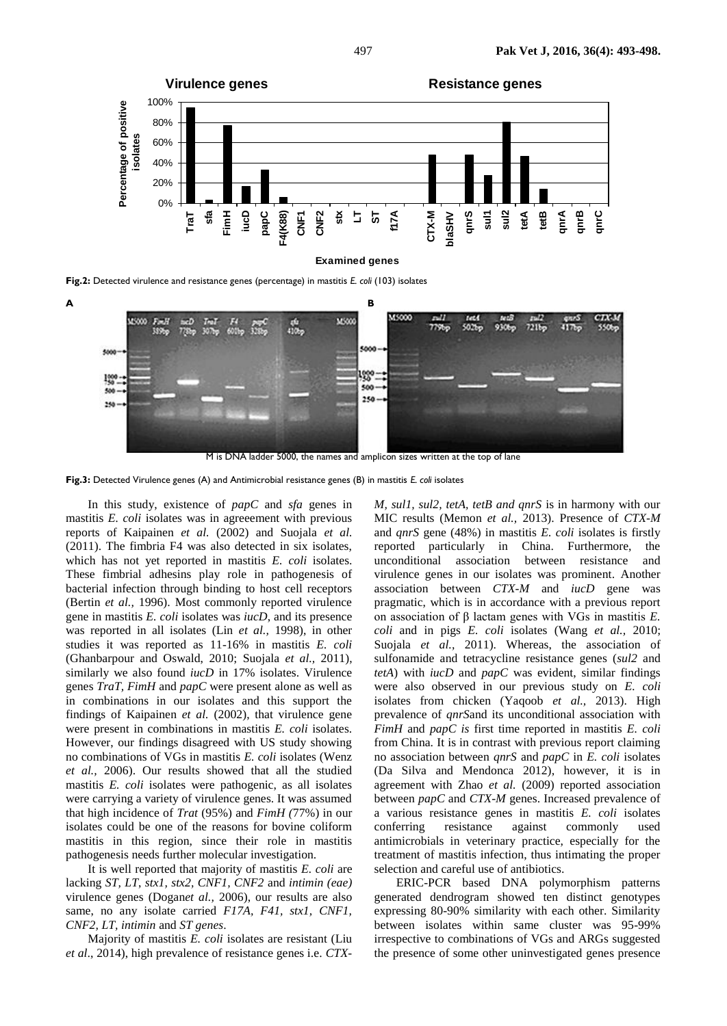



M is DNA ladder 5000, the names and amplicon sizes written at the top of lane



In this study, existence of *papC* and *sfa* genes in mastitis *E. coli* isolates was in agreeement with previous reports of Kaipainen *et al.* (2002) and Suojala *et al.*  (2011). The fimbria F4 was also detected in six isolates, which has not yet reported in mastitis *E. coli* isolates. These fimbrial adhesins play role in pathogenesis of bacterial infection through binding to host cell receptors (Bertin *et al.,* 1996). Most commonly reported virulence gene in mastitis *E. coli* isolates was *iucD*, and its presence was reported in all isolates (Lin *et al.,* 1998), in other studies it was reported as 11-16% in mastitis *E. coli*  (Ghanbarpour and Oswald, 2010; Suojala *et al.,* 2011), similarly we also found *iucD* in 17% isolates. Virulence genes *TraT, FimH* and *papC* were present alone as well as in combinations in our isolates and this support the findings of Kaipainen *et al.* (2002), that virulence gene were present in combinations in mastitis *E. coli* isolates. However, our findings disagreed with US study showing no combinations of VGs in mastitis *E. coli* isolates (Wenz *et al.,* 2006). Our results showed that all the studied mastitis *E. coli* isolates were pathogenic, as all isolates were carrying a variety of virulence genes. It was assumed that high incidence of *Trat* (95%) and *FimH (*77%) in our isolates could be one of the reasons for bovine coliform mastitis in this region, since their role in mastitis pathogenesis needs further molecular investigation.

It is well reported that majority of mastitis *E. coli* are lacking *ST, LT*, *stx1, stx2, CNF1, CNF2* and *intimin (eae)*  virulence genes (Dogan*et al.,* 2006), our results are also same, no any isolate carried *F17A, F41, stx1, CNF1, CNF2, LT, intimin* and *ST genes*.

Majority of mastitis *E. coli* isolates are resistant (Liu *et al*., 2014), high prevalence of resistance genes i.e. *CTX-*

*M, sul1, sul2, tetA, tetB and qnrS* is in harmony with our MIC results (Memon *et al.,* 2013). Presence of *CTX-M* and *qnrS* gene (48%) in mastitis *E. coli* isolates is firstly reported particularly in China. Furthermore, the unconditional association between resistance and virulence genes in our isolates was prominent. Another association between *CTX-M* and *iucD* gene was pragmatic, which is in accordance with a previous report on association of β lactam genes with VGs in mastitis *E. coli* and in pigs *E. coli* isolates (Wang *et al.,* 2010; Suojala *et al.,* 2011). Whereas, the association of sulfonamide and tetracycline resistance genes (*sul2* and *tetA*) with *iucD* and *papC* was evident, similar findings were also observed in our previous study on *E. coli*  isolates from chicken (Yaqoob *et al.,* 2013). High prevalence of *qnrS*and its unconditional association with *FimH* and *papC is* first time reported in mastitis *E. coli*  from China. It is in contrast with previous report claiming no association between *qnrS* and *papC* in *E. coli* isolates (Da Silva and Mendonca 2012), however, it is in agreement with Zhao *et al.* (2009) reported association between *papC* and *CTX-M* genes. Increased prevalence of a various resistance genes in mastitis *E. coli* isolates conferring resistance against commonly used antimicrobials in veterinary practice, especially for the treatment of mastitis infection, thus intimating the proper selection and careful use of antibiotics. **Neurone genes Resistance genes Resistance genes Resistance genes Resistance genes Resistance genes Resistance genes Resistance genes Resistance genes Resistance genes Resistance genes Resistance genes Resistance genes Re** 

ERIC-PCR based DNA polymorphism patterns generated dendrogram showed ten distinct genotypes expressing 80-90% similarity with each other. Similarity between isolates within same cluster was 95-99% irrespective to combinations of VGs and ARGs suggested